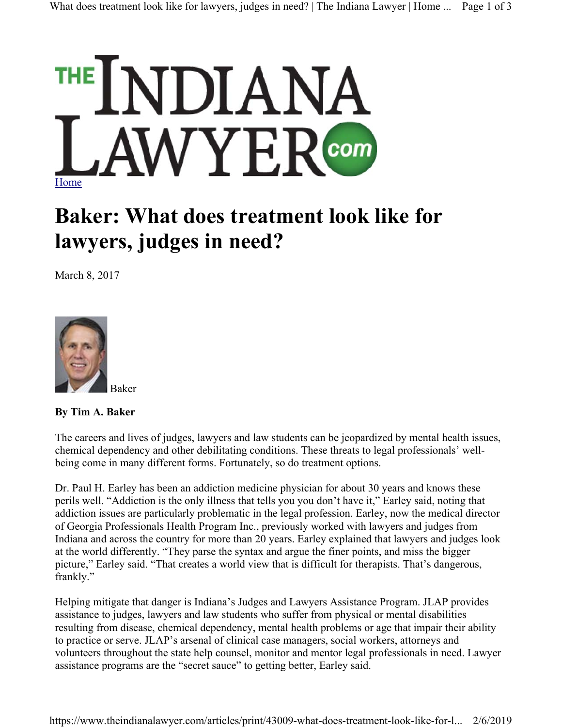

## **Baker: What does treatment look like for lawyers, judges in need?**

March 8, 2017



**By Tim A. Baker**

The careers and lives of judges, lawyers and law students can be jeopardized by mental health issues, chemical dependency and other debilitating conditions. These threats to legal professionals' wellbeing come in many different forms. Fortunately, so do treatment options.

Dr. Paul H. Earley has been an addiction medicine physician for about 30 years and knows these perils well. "Addiction is the only illness that tells you you don't have it," Earley said, noting that addiction issues are particularly problematic in the legal profession. Earley, now the medical director of Georgia Professionals Health Program Inc., previously worked with lawyers and judges from Indiana and across the country for more than 20 years. Earley explained that lawyers and judges look at the world differently. "They parse the syntax and argue the finer points, and miss the bigger picture," Earley said. "That creates a world view that is difficult for therapists. That's dangerous, frankly."

Helping mitigate that danger is Indiana's Judges and Lawyers Assistance Program. JLAP provides assistance to judges, lawyers and law students who suffer from physical or mental disabilities resulting from disease, chemical dependency, mental health problems or age that impair their ability to practice or serve. JLAP's arsenal of clinical case managers, social workers, attorneys and volunteers throughout the state help counsel, monitor and mentor legal professionals in need. Lawyer assistance programs are the "secret sauce" to getting better, Earley said.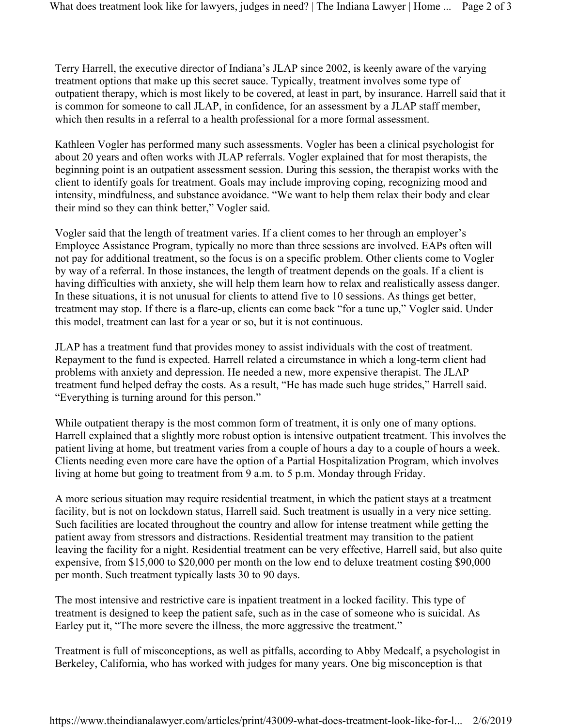Terry Harrell, the executive director of Indiana's JLAP since 2002, is keenly aware of the varying treatment options that make up this secret sauce. Typically, treatment involves some type of outpatient therapy, which is most likely to be covered, at least in part, by insurance. Harrell said that it is common for someone to call JLAP, in confidence, for an assessment by a JLAP staff member, which then results in a referral to a health professional for a more formal assessment.

Kathleen Vogler has performed many such assessments. Vogler has been a clinical psychologist for about 20 years and often works with JLAP referrals. Vogler explained that for most therapists, the beginning point is an outpatient assessment session. During this session, the therapist works with the client to identify goals for treatment. Goals may include improving coping, recognizing mood and intensity, mindfulness, and substance avoidance. "We want to help them relax their body and clear their mind so they can think better," Vogler said.

Vogler said that the length of treatment varies. If a client comes to her through an employer's Employee Assistance Program, typically no more than three sessions are involved. EAPs often will not pay for additional treatment, so the focus is on a specific problem. Other clients come to Vogler by way of a referral. In those instances, the length of treatment depends on the goals. If a client is having difficulties with anxiety, she will help them learn how to relax and realistically assess danger. In these situations, it is not unusual for clients to attend five to 10 sessions. As things get better, treatment may stop. If there is a flare-up, clients can come back "for a tune up," Vogler said. Under this model, treatment can last for a year or so, but it is not continuous.

JLAP has a treatment fund that provides money to assist individuals with the cost of treatment. Repayment to the fund is expected. Harrell related a circumstance in which a long-term client had problems with anxiety and depression. He needed a new, more expensive therapist. The JLAP treatment fund helped defray the costs. As a result, "He has made such huge strides," Harrell said. "Everything is turning around for this person."

While outpatient therapy is the most common form of treatment, it is only one of many options. Harrell explained that a slightly more robust option is intensive outpatient treatment. This involves the patient living at home, but treatment varies from a couple of hours a day to a couple of hours a week. Clients needing even more care have the option of a Partial Hospitalization Program, which involves living at home but going to treatment from 9 a.m. to 5 p.m. Monday through Friday.

A more serious situation may require residential treatment, in which the patient stays at a treatment facility, but is not on lockdown status, Harrell said. Such treatment is usually in a very nice setting. Such facilities are located throughout the country and allow for intense treatment while getting the patient away from stressors and distractions. Residential treatment may transition to the patient leaving the facility for a night. Residential treatment can be very effective, Harrell said, but also quite expensive, from \$15,000 to \$20,000 per month on the low end to deluxe treatment costing \$90,000 per month. Such treatment typically lasts 30 to 90 days.

The most intensive and restrictive care is inpatient treatment in a locked facility. This type of treatment is designed to keep the patient safe, such as in the case of someone who is suicidal. As Earley put it, "The more severe the illness, the more aggressive the treatment."

Treatment is full of misconceptions, as well as pitfalls, according to Abby Medcalf, a psychologist in Berkeley, California, who has worked with judges for many years. One big misconception is that